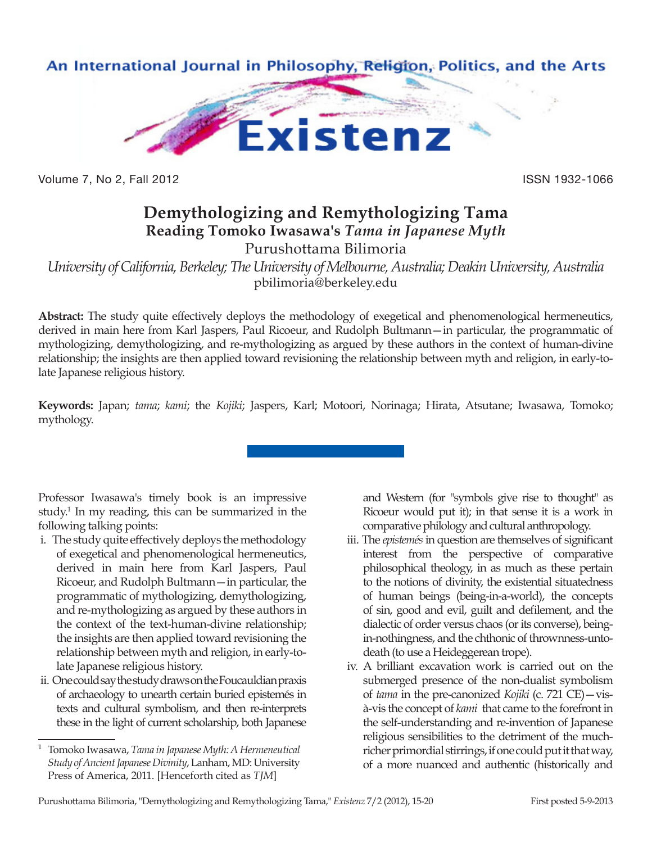

Volume 7, No 2, Fall 2012 **ISSN 1932-1066** 

## **Demythologizing and Remythologizing Tama Reading Tomoko Iwasawa's** *Tama in Japanese Myth*

Purushottama Bilimoria

*University of California, Berkeley; The University of Melbourne, Australia; Deakin University, Australia* pbilimoria@berkeley.edu

**Abstract:** The study quite effectively deploys the methodology of exegetical and phenomenological hermeneutics, derived in main here from Karl Jaspers, Paul Ricoeur, and Rudolph Bultmann—in particular, the programmatic of mythologizing, demythologizing, and re-mythologizing as argued by these authors in the context of human-divine relationship; the insights are then applied toward revisioning the relationship between myth and religion, in early-tolate Japanese religious history.

**Keywords:** Japan; *tama*; *kami*; the *Kojiki*; Jaspers, Karl; Motoori, Norinaga; Hirata, Atsutane; Iwasawa, Tomoko; mythology.

Professor Iwasawa's timely book is an impressive study.<sup>1</sup> In my reading, this can be summarized in the following talking points:

- i. The study quite effectively deploys the methodology of exegetical and phenomenological hermeneutics, derived in main here from Karl Jaspers, Paul Ricoeur, and Rudolph Bultmann—in particular, the programmatic of mythologizing, demythologizing, and re-mythologizing as argued by these authors in the context of the text-human-divine relationship; the insights are then applied toward revisioning the relationship between myth and religion, in early-tolate Japanese religious history.
- ii. One could say the study draws on the Foucauldian praxis of archaeology to unearth certain buried epistemés in texts and cultural symbolism, and then re-interprets these in the light of current scholarship, both Japanese

and Western (for "symbols give rise to thought" as Ricoeur would put it); in that sense it is a work in comparative philology and cultural anthropology.

- iii. The *epistemés* in question are themselves of significant interest from the perspective of comparative philosophical theology, in as much as these pertain to the notions of divinity, the existential situatedness of human beings (being-in-a-world), the concepts of sin, good and evil, guilt and defilement, and the dialectic of order versus chaos (or its converse), beingin-nothingness, and the chthonic of thrownness-untodeath (to use a Heideggerean trope).
- iv. A brilliant excavation work is carried out on the submerged presence of the non-dualist symbolism of *tama* in the pre-canonized *Kojiki* (c. 721 CE)—visà-vis the concept of *kami* that came to the forefront in the self-understanding and re-invention of Japanese religious sensibilities to the detriment of the muchricher primordial stirrings, if one could put it that way, of a more nuanced and authentic (historically and

<sup>1</sup> Tomoko Iwasawa, *Tama in Japanese Myth: A Hermeneutical Study of Ancient Japanese Divinity*, Lanham, MD: University Press of America, 2011. [Henceforth cited as *TJM*]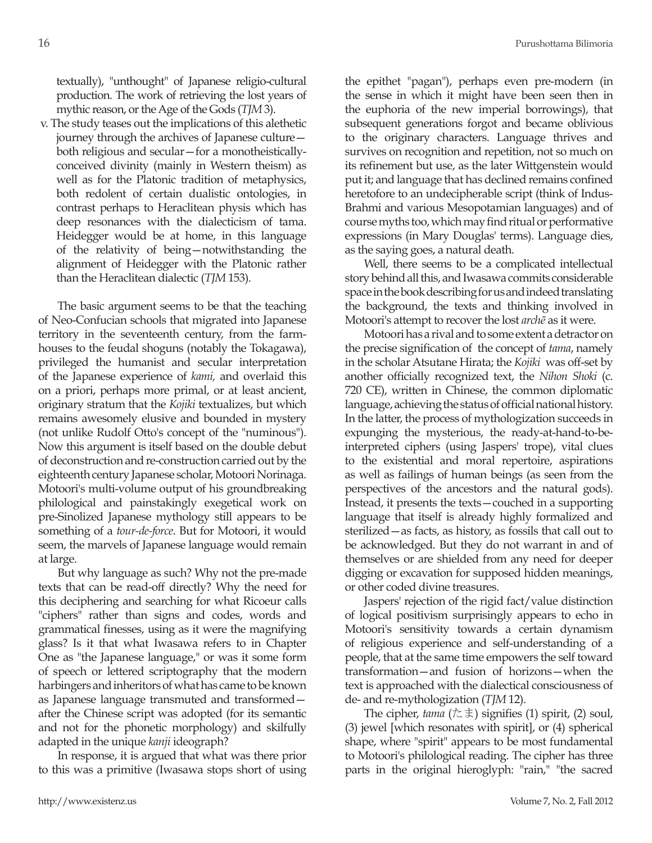textually), "unthought" of Japanese religio-cultural production. The work of retrieving the lost years of mythic reason, or the Age of the Gods (*TJM* 3).

v. The study teases out the implications of this alethetic journey through the archives of Japanese culture both religious and secular—for a monotheisticallyconceived divinity (mainly in Western theism) as well as for the Platonic tradition of metaphysics, both redolent of certain dualistic ontologies, in contrast perhaps to Heraclitean physis which has deep resonances with the dialecticism of tama. Heidegger would be at home, in this language of the relativity of being—notwithstanding the alignment of Heidegger with the Platonic rather than the Heraclitean dialectic (*TJM* 153).

The basic argument seems to be that the teaching of Neo-Confucian schools that migrated into Japanese territory in the seventeenth century, from the farmhouses to the feudal shoguns (notably the Tokagawa), privileged the humanist and secular interpretation of the Japanese experience of *kami,* and overlaid this on a priori, perhaps more primal, or at least ancient, originary stratum that the *Kojiki* textualizes, but which remains awesomely elusive and bounded in mystery (not unlike Rudolf Otto's concept of the "numinous"). Now this argument is itself based on the double debut of deconstruction and re-construction carried out by the eighteenth century Japanese scholar, Motoori Norinaga. Motoori's multi-volume output of his groundbreaking philological and painstakingly exegetical work on pre-Sinolized Japanese mythology still appears to be something of a *tour-de-force*. But for Motoori, it would seem, the marvels of Japanese language would remain at large.

But why language as such? Why not the pre-made texts that can be read-off directly? Why the need for this deciphering and searching for what Ricoeur calls "ciphers" rather than signs and codes, words and grammatical finesses, using as it were the magnifying glass? Is it that what Iwasawa refers to in Chapter One as "the Japanese language," or was it some form of speech or lettered scriptography that the modern harbingers and inheritors of what has came to be known as Japanese language transmuted and transformed after the Chinese script was adopted (for its semantic and not for the phonetic morphology) and skilfully adapted in the unique *kanji* ideograph?

In response, it is argued that what was there prior to this was a primitive (Iwasawa stops short of using the epithet "pagan"), perhaps even pre-modern (in the sense in which it might have been seen then in the euphoria of the new imperial borrowings), that subsequent generations forgot and became oblivious to the originary characters. Language thrives and survives on recognition and repetition, not so much on its refinement but use, as the later Wittgenstein would put it; and language that has declined remains confined heretofore to an undecipherable script (think of Indus-Brahmi and various Mesopotamian languages) and of course myths too, which may find ritual or performative expressions (in Mary Douglas' terms). Language dies, as the saying goes, a natural death.

Well, there seems to be a complicated intellectual story behind all this, and Iwasawa commits considerable space in the book describing for us and indeed translating the background, the texts and thinking involved in Motoori's attempt to recover the lost *archē* as it were.

Motoori has a rival and to some extent a detractor on the precise signification of the concept of *tama*, namely in the scholar Atsutane Hirata; the *Kojiki* was off-set by another officially recognized text, the *Nihon Shoki* (c. 720 CE), written in Chinese, the common diplomatic language, achieving the status of official national history. In the latter, the process of mythologization succeeds in expunging the mysterious, the ready-at-hand-to-beinterpreted ciphers (using Jaspers' trope), vital clues to the existential and moral repertoire, aspirations as well as failings of human beings (as seen from the perspectives of the ancestors and the natural gods). Instead, it presents the texts—couched in a supporting language that itself is already highly formalized and sterilized—as facts, as history, as fossils that call out to be acknowledged. But they do not warrant in and of themselves or are shielded from any need for deeper digging or excavation for supposed hidden meanings, or other coded divine treasures.

Jaspers' rejection of the rigid fact/value distinction of logical positivism surprisingly appears to echo in Motoori's sensitivity towards a certain dynamism of religious experience and self-understanding of a people, that at the same time empowers the self toward transformation—and fusion of horizons—when the text is approached with the dialectical consciousness of de- and re-mythologization (*TJM* 12).

The cipher, *tama* (たま) signifies (1) spirit, (2) soul, (3) jewel [which resonates with spirit], or (4) spherical shape, where "spirit" appears to be most fundamental to Motoori's philological reading. The cipher has three parts in the original hieroglyph: "rain," "the sacred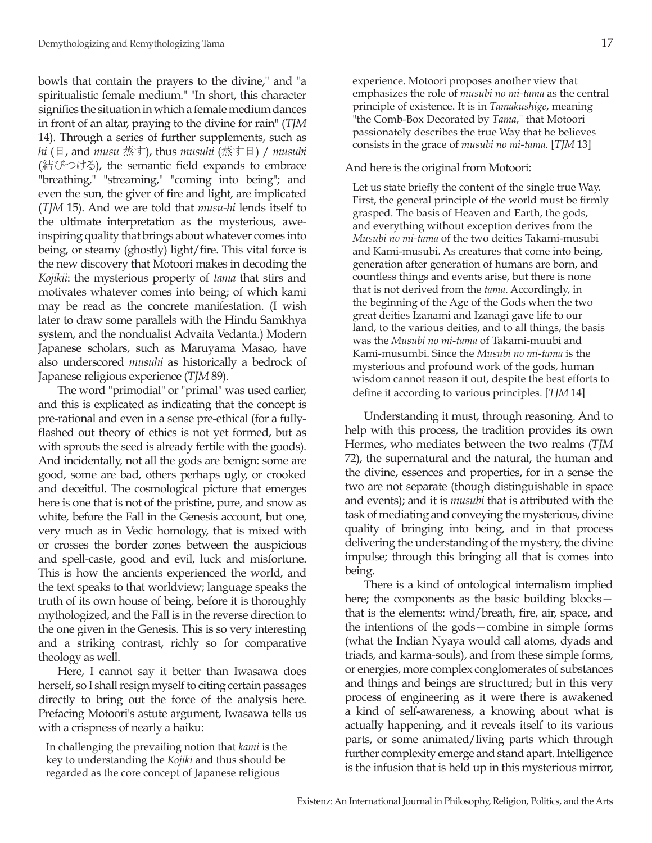bowls that contain the prayers to the divine," and "a spiritualistic female medium." "In short, this character signifies the situation in which a female medium dances in front of an altar, praying to the divine for rain" (*TJM* 14). Through a series of further supplements, such as *hi* (日, and *musu* 蒸す), thus *musuhi* (蒸す日) / *musubi* (結びつける), the semantic field expands to embrace "breathing," "streaming," "coming into being"; and even the sun, the giver of fire and light, are implicated (*TJM* 15). And we are told that *musu-hi* lends itself to the ultimate interpretation as the mysterious, aweinspiring quality that brings about whatever comes into being, or steamy (ghostly) light/fire. This vital force is the new discovery that Motoori makes in decoding the *Kojikii*: the mysterious property of *tama* that stirs and motivates whatever comes into being; of which kami may be read as the concrete manifestation. (I wish later to draw some parallels with the Hindu Samkhya system, and the nondualist Advaita Vedanta.) Modern Japanese scholars, such as Maruyama Masao, have also underscored *musuhi* as historically a bedrock of Japanese religious experience (*TJM* 89).

The word "primodial" or "primal" was used earlier, and this is explicated as indicating that the concept is pre-rational and even in a sense pre-ethical (for a fullyflashed out theory of ethics is not yet formed, but as with sprouts the seed is already fertile with the goods). And incidentally, not all the gods are benign: some are good, some are bad, others perhaps ugly, or crooked and deceitful. The cosmological picture that emerges here is one that is not of the pristine, pure, and snow as white, before the Fall in the Genesis account, but one, very much as in Vedic homology, that is mixed with or crosses the border zones between the auspicious and spell-caste, good and evil, luck and misfortune. This is how the ancients experienced the world, and the text speaks to that worldview; language speaks the truth of its own house of being, before it is thoroughly mythologized, and the Fall is in the reverse direction to the one given in the Genesis. This is so very interesting and a striking contrast, richly so for comparative theology as well.

Here, I cannot say it better than Iwasawa does herself, so I shall resign myself to citing certain passages directly to bring out the force of the analysis here. Prefacing Motoori's astute argument, Iwasawa tells us with a crispness of nearly a haiku:

In challenging the prevailing notion that *kami* is the key to understanding the *Kojiki* and thus should be regarded as the core concept of Japanese religious

experience. Motoori proposes another view that emphasizes the role of *musubi no mi-tama* as the central principle of existence. It is in *Tamakushige*, meaning "the Comb-Box Decorated by *Tama*," that Motoori passionately describes the true Way that he believes consists in the grace of *musubi no mi-tama*. [*TJM* 13]

## And here is the original from Motoori:

Let us state briefly the content of the single true Way. First, the general principle of the world must be firmly grasped. The basis of Heaven and Earth, the gods, and everything without exception derives from the *Musubi no mi-tama* of the two deities Takami-musubi and Kami-musubi. As creatures that come into being, generation after generation of humans are born, and countless things and events arise, but there is none that is not derived from the *tama*. Accordingly, in the beginning of the Age of the Gods when the two great deities Izanami and Izanagi gave life to our land, to the various deities, and to all things, the basis was the *Musubi no mi-tama* of Takami-muubi and Kami-musumbi. Since the *Musubi no mi-tama* is the mysterious and profound work of the gods, human wisdom cannot reason it out, despite the best efforts to define it according to various principles. [*TJM* 14]

Understanding it must, through reasoning. And to help with this process, the tradition provides its own Hermes, who mediates between the two realms (*TJM* 72), the supernatural and the natural, the human and the divine, essences and properties, for in a sense the two are not separate (though distinguishable in space and events); and it is *musubi* that is attributed with the task of mediating and conveying the mysterious, divine quality of bringing into being, and in that process delivering the understanding of the mystery, the divine impulse; through this bringing all that is comes into being.

There is a kind of ontological internalism implied here; the components as the basic building blocksthat is the elements: wind/breath, fire, air, space, and the intentions of the gods—combine in simple forms (what the Indian Nyaya would call atoms, dyads and triads, and karma-souls), and from these simple forms, or energies, more complex conglomerates of substances and things and beings are structured; but in this very process of engineering as it were there is awakened a kind of self-awareness, a knowing about what is actually happening, and it reveals itself to its various parts, or some animated/living parts which through further complexity emerge and stand apart. Intelligence is the infusion that is held up in this mysterious mirror,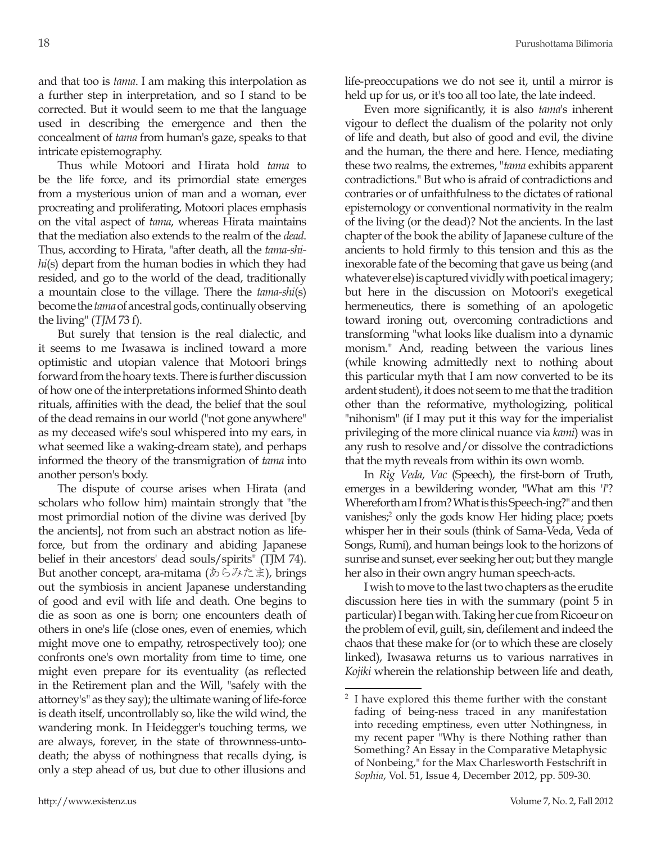and that too is *tama*. I am making this interpolation as a further step in interpretation, and so I stand to be corrected. But it would seem to me that the language used in describing the emergence and then the concealment of *tama* from human's gaze, speaks to that intricate epistemography.

Thus while Motoori and Hirata hold *tama* to be the life force, and its primordial state emerges from a mysterious union of man and a woman, ever procreating and proliferating, Motoori places emphasis on the vital aspect of *tama*, whereas Hirata maintains that the mediation also extends to the realm of the *dead*. Thus, according to Hirata, "after death, all the *tama-shihi*(s) depart from the human bodies in which they had resided, and go to the world of the dead, traditionally a mountain close to the village. There the *tama-shi*(s) become the *tama* of ancestral gods, continually observing the living" (*TJM* 73 f).

But surely that tension is the real dialectic, and it seems to me Iwasawa is inclined toward a more optimistic and utopian valence that Motoori brings forward from the hoary texts. There is further discussion of how one of the interpretations informed Shinto death rituals, affinities with the dead, the belief that the soul of the dead remains in our world ("not gone anywhere" as my deceased wife's soul whispered into my ears, in what seemed like a waking-dream state), and perhaps informed the theory of the transmigration of *tama* into another person's body.

The dispute of course arises when Hirata (and scholars who follow him) maintain strongly that "the most primordial notion of the divine was derived [by the ancients], not from such an abstract notion as lifeforce, but from the ordinary and abiding Japanese belief in their ancestors' dead souls/spirits" (TJM 74). But another concept, ara-mitama (あらみたま), brings out the symbiosis in ancient Japanese understanding of good and evil with life and death. One begins to die as soon as one is born; one encounters death of others in one's life (close ones, even of enemies, which might move one to empathy, retrospectively too); one confronts one's own mortality from time to time, one might even prepare for its eventuality (as reflected in the Retirement plan and the Will, "safely with the attorney's" as they say); the ultimate waning of life-force is death itself, uncontrollably so, like the wild wind, the wandering monk. In Heidegger's touching terms, we are always, forever, in the state of thrownness-untodeath; the abyss of nothingness that recalls dying, is only a step ahead of us, but due to other illusions and life-preoccupations we do not see it, until a mirror is held up for us, or it's too all too late, the late indeed.

Even more significantly, it is also *tama*'s inherent vigour to deflect the dualism of the polarity not only of life and death, but also of good and evil, the divine and the human, the there and here. Hence, mediating these two realms, the extremes, "*tama* exhibits apparent contradictions." But who is afraid of contradictions and contraries or of unfaithfulness to the dictates of rational epistemology or conventional normativity in the realm of the living (or the dead)? Not the ancients. In the last chapter of the book the ability of Japanese culture of the ancients to hold firmly to this tension and this as the inexorable fate of the becoming that gave us being (and whatever else) is captured vividly with poetical imagery; but here in the discussion on Motoori's exegetical hermeneutics, there is something of an apologetic toward ironing out, overcoming contradictions and transforming "what looks like dualism into a dynamic monism." And, reading between the various lines (while knowing admittedly next to nothing about this particular myth that I am now converted to be its ardent student), it does not seem to me that the tradition other than the reformative, mythologizing, political "nihonism" (if I may put it this way for the imperialist privileging of the more clinical nuance via *kami*) was in any rush to resolve and/or dissolve the contradictions that the myth reveals from within its own womb.

In *Rig Veda*, *Vac* (Speech), the first-born of Truth, emerges in a bewildering wonder, "What am this '*I*'? Whereforth am I from? What is this Speech-ing?" and then vanishes;<sup>2</sup> only the gods know Her hiding place; poets whisper her in their souls (think of Sama-Veda, Veda of Songs, Rumi), and human beings look to the horizons of sunrise and sunset, ever seeking her out; but they mangle her also in their own angry human speech-acts.

I wish to move to the last two chapters as the erudite discussion here ties in with the summary (point 5 in particular) I began with. Taking her cue from Ricoeur on the problem of evil, guilt, sin, defilement and indeed the chaos that these make for (or to which these are closely linked), Iwasawa returns us to various narratives in *Kojiki* wherein the relationship between life and death,

<sup>2</sup> I have explored this theme further with the constant fading of being-ness traced in any manifestation into receding emptiness, even utter Nothingness, in my recent paper "Why is there Nothing rather than Something? An Essay in the Comparative Metaphysic of Nonbeing," for the Max Charlesworth Festschrift in *Sophia*, Vol. 51, Issue 4, December 2012, pp. 509-30.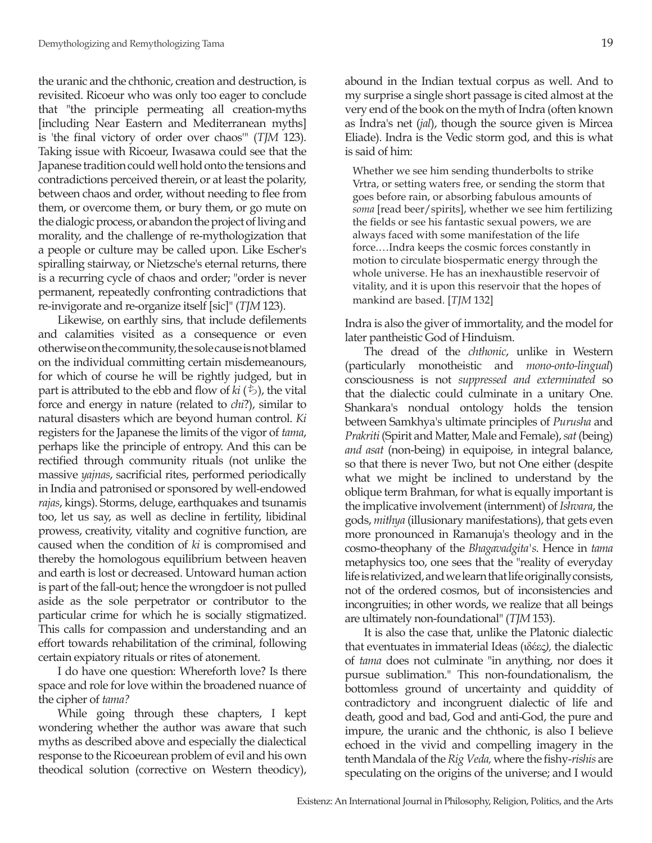the uranic and the chthonic, creation and destruction, is revisited. Ricoeur who was only too eager to conclude that "the principle permeating all creation-myths [including Near Eastern and Mediterranean myths] is 'the final victory of order over chaos'" (*TJM* 123). Taking issue with Ricoeur, Iwasawa could see that the Japanese tradition could well hold onto the tensions and contradictions perceived therein, or at least the polarity, between chaos and order, without needing to flee from them, or overcome them, or bury them, or go mute on the dialogic process, or abandon the project of living and morality, and the challenge of re-mythologization that a people or culture may be called upon. Like Escher's spiralling stairway, or Nietzsche's eternal returns, there is a recurring cycle of chaos and order; "order is never permanent, repeatedly confronting contradictions that re-invigorate and re-organize itself [sic]" (*TJM* 123).

Likewise, on earthly sins, that include defilements and calamities visited as a consequence or even otherwise on the community, the sole cause is not blamed on the individual committing certain misdemeanours, for which of course he will be rightly judged, but in part is attributed to the ebb and flow of  $ki$  ( $\ddot{\triangleright}$ ), the vital force and energy in nature (related to *chi*?), similar to natural disasters which are beyond human control. *Ki*  registers for the Japanese the limits of the vigor of *tama*, perhaps like the principle of entropy. And this can be rectified through community rituals (not unlike the massive *yajnas*, sacrificial rites, performed periodically in India and patronised or sponsored by well-endowed *rajas*, kings). Storms, deluge, earthquakes and tsunamis too, let us say, as well as decline in fertility, libidinal prowess, creativity, vitality and cognitive function, are caused when the condition of *ki* is compromised and thereby the homologous equilibrium between heaven and earth is lost or decreased. Untoward human action is part of the fall-out; hence the wrongdoer is not pulled aside as the sole perpetrator or contributor to the particular crime for which he is socially stigmatized. This calls for compassion and understanding and an effort towards rehabilitation of the criminal, following certain expiatory rituals or rites of atonement.

I do have one question: Whereforth love? Is there space and role for love within the broadened nuance of the cipher of *tama?*

While going through these chapters, I kept wondering whether the author was aware that such myths as described above and especially the dialectical response to the Ricoeurean problem of evil and his own theodical solution (corrective on Western theodicy), abound in the Indian textual corpus as well. And to my surprise a single short passage is cited almost at the very end of the book on the myth of Indra (often known as Indra's net (*jal*), though the source given is Mircea Eliade). Indra is the Vedic storm god, and this is what is said of him:

Whether we see him sending thunderbolts to strike Vrtra, or setting waters free, or sending the storm that goes before rain, or absorbing fabulous amounts of *soma* [read beer/spirits], whether we see him fertilizing the fields or see his fantastic sexual powers, we are always faced with some manifestation of the life force.…Indra keeps the cosmic forces constantly in motion to circulate biospermatic energy through the whole universe. He has an inexhaustible reservoir of vitality, and it is upon this reservoir that the hopes of mankind are based. [*TJM* 132]

Indra is also the giver of immortality, and the model for later pantheistic God of Hinduism.

The dread of the *chthonic*, unlike in Western (particularly monotheistic and *mono-onto-lingual*) consciousness is not *suppressed and exterminated* so that the dialectic could culminate in a unitary One. Shankara's nondual ontology holds the tension between Samkhya's ultimate principles of *Purusha* and *Prakriti* (Spirit and Matter, Male and Female), *sat* (being) *and asat* (non-being) in equipoise, in integral balance, so that there is never Two, but not One either (despite what we might be inclined to understand by the oblique term Brahman, for what is equally important is the implicative involvement (internment) of *Ishvara*, the gods, *mithya* (illusionary manifestations), that gets even more pronounced in Ramanuja's theology and in the cosmo-theophany of the *Bhagavadgita's*. Hence in *tama*  metaphysics too, one sees that the "reality of everyday life is relativized, and we learn that life originally consists, not of the ordered cosmos, but of inconsistencies and incongruities; in other words, we realize that all beings are ultimately non-foundational" (*TJM* 153).

It is also the case that, unlike the Platonic dialectic that eventuates in immaterial Ideas (ιδέες*),* the dialectic of *tama* does not culminate "in anything, nor does it pursue sublimation." This non-foundationalism, the bottomless ground of uncertainty and quiddity of contradictory and incongruent dialectic of life and death, good and bad, God and anti-God, the pure and impure, the uranic and the chthonic, is also I believe echoed in the vivid and compelling imagery in the tenth Mandala of the *Rig Veda,* where the fishy-*rishis* are speculating on the origins of the universe; and I would